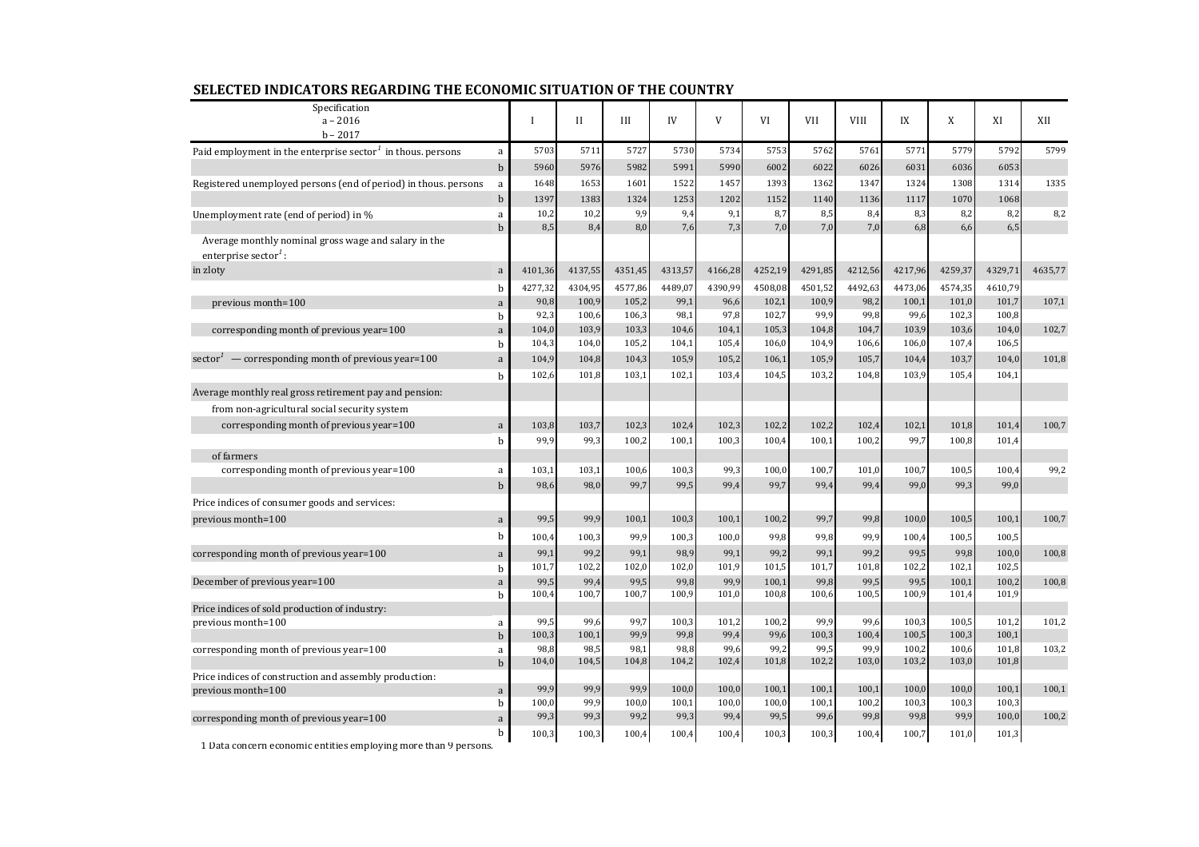| Specification<br>$a - 2016$                                                              |              | $\mathbf{I}$  | $\mathbf{I}$  | Ш             | IV            | V             | VI             | VII           | <b>VIII</b>   | IX            | X              | XI             | XII     |
|------------------------------------------------------------------------------------------|--------------|---------------|---------------|---------------|---------------|---------------|----------------|---------------|---------------|---------------|----------------|----------------|---------|
| $b - 2017$                                                                               |              |               |               |               |               |               |                |               |               |               |                |                |         |
| Paid employment in the enterprise sector $1$ in thous. persons                           | a            | 5703          | 5711          | 5727          | 5730          | 5734          | 5753           | 5762          | 5761          | 5771          | 5779           | 5792           | 5799    |
|                                                                                          | $\mathbf b$  | 5960          | 5976          | 5982          | 5991          | 5990          | 6002           | 6022          | 6026          | 6031          | 6036           | 6053           |         |
| Registered unemployed persons (end of period) in thous. persons                          | a            | 1648          | 1653          | 1601          | 1522          | 1457          | 1393           | 1362          | 1347          | 1324          | 1308           | 1314           | 1335    |
|                                                                                          | $\mathbf b$  | 1397          | 1383          | 1324          | 1253          | 1202          | 1152           | 1140          | 1136          | 1117          | 1070           | 1068           |         |
| Unemployment rate (end of period) in %                                                   | a            | 10,2          | 10,2          | 9,9           | 9,4           | 9,1           | 8,7            | 8,5           | 8,4           | 8,3           | 8,2            | 8,2            | 8,2     |
| Average monthly nominal gross wage and salary in the<br>enterprise sector <sup>1</sup> : | $\mathbf{h}$ | 8,5           | 8,4           | 8,0           | 7,6           | 7,3           | 7,0            | 7,0           | 7,0           | 6,8           | 6,6            | 6,5            |         |
| in zloty                                                                                 | a            | 4101,36       | 4137,55       | 4351,45       | 4313,57       | 4166,28       | 4252,19        | 4291,85       | 4212,56       | 4217,96       | 4259,37        | 4329,71        | 4635,77 |
|                                                                                          | b            | 4277,32       | 4304,95       | 4577,86       | 4489,07       | 4390,99       | 4508,08        | 4501,52       | 4492,63       | 4473,06       | 4574,35        | 4610,79        |         |
| previous month=100                                                                       | $\rm{a}$     | 90,8          | 100,9         | 105,2         | 99,1          | 96,6          | 102,1          | 100,9         | 98,2          | 100,1         | 101,0          | 101,7          | 107,1   |
|                                                                                          | b            | 92,3          | 100,6         | 106,3         | 98,1          | 97,8          | 102,7          | 99,9          | 99,8          | 99,6          | 102,3          | 100,8          |         |
| corresponding month of previous year=100                                                 | a            | 104,0         | 103,9         | 103,3         | 104,6         | 104,1         | 105,3          | 104,8         | 104,7         | 103,9         | 103,6          | 104,0          | 102,7   |
|                                                                                          | b            | 104,3         | 104,0         | 105,2         | 104,1         | 105,4         | 106,0          | 104,9         | 106,6         | 106,0         | 107,4          | 106,5          |         |
| sector <sup><math>1</math></sup> — corresponding month of previous year=100              | a            | 104,9         | 104,8         | 104,3         | 105,9         | 105,2         | 106,1          | 105,9         | 105,7         | 104,4         | 103,7          | 104,0          | 101,8   |
|                                                                                          | b            | 102,6         | 101,8         | 103,1         | 102,1         | 103,4         | 104,5          | 103,2         | 104,8         | 103,9         | 105,4          | 104,1          |         |
| Average monthly real gross retirement pay and pension:                                   |              |               |               |               |               |               |                |               |               |               |                |                |         |
| from non-agricultural social security system                                             |              |               |               |               |               |               |                |               |               |               |                |                |         |
| corresponding month of previous year=100                                                 | $\rm{a}$     | 103,8         | 103,7         | 102,3         | 102,4         | 102,3         | 102,2          | 102,2         | 102,4         | 102,1         | 101,8          | 101,4          | 100,7   |
|                                                                                          | $\mathbf b$  | 99,9          | 99,3          | 100,2         | 100,1         | 100,3         | 100,4          | 100,1         | 100,2         | 99,7          | 100,8          | 101,4          |         |
| of farmers                                                                               |              |               |               |               |               |               |                |               |               |               |                |                |         |
| corresponding month of previous year=100                                                 | a            | 103,1         | 103,1         | 100,6         | 100,3         | 99,3          | 100,0          | 100,7         | 101,0         | 100,7         | 100,5          | 100,4          | 99,2    |
|                                                                                          | $\mathbf b$  | 98,6          | 98,0          | 99,7          | 99,5          | 99,4          | 99,7           | 99,4          | 99,4          | 99,0          | 99,3           | 99,0           |         |
| Price indices of consumer goods and services:                                            |              |               |               |               |               |               |                |               |               |               |                |                |         |
| previous month=100                                                                       | $\rm{a}$     | 99,5          | 99,9          | 100,1         | 100,3         | 100,1         | 100,2          | 99,7          | 99,8          | 100,0         | 100,5          | 100,1          | 100,7   |
|                                                                                          | $\mathbf b$  | 100,4         | 100,3         | 99,9          | 100,3         | 100,0         | 99,8           | 99,8          | 99,9          | 100,4         | 100,5          | 100,5          |         |
| corresponding month of previous year=100                                                 | a            | 99,1          | 99,2          | 99,1          | 98,9          | 99,1          | 99,2           | 99,1          | 99,2          | 99,5          | 99,8           | 100,0          | 100,8   |
|                                                                                          | b            | 101,7         | 102,2         | 102,0         | 102,0         | 101,9         | 101,5          | 101,7         | 101,8         | 102,2         | 102,1          | 102,5          |         |
| December of previous year=100                                                            | a<br>b       | 99,5<br>100,4 | 99,4<br>100,7 | 99,5<br>100,7 | 99,8<br>100,9 | 99,9<br>101,0 | 100,1<br>100,8 | 99,8<br>100,6 | 99,5<br>100,5 | 99,5<br>100,9 | 100,1<br>101,4 | 100,2<br>101,9 | 100,8   |
| Price indices of sold production of industry:                                            |              |               |               |               |               |               |                |               |               |               |                |                |         |
| previous month=100                                                                       | a            | 99,5          | 99,6          | 99,7          | 100,3         | 101,2         | 100,2          | 99,9          | 99,6          | 100,3         | 100,5          | 101,2          | 101,2   |
|                                                                                          | $\mathbf b$  | 100,3         | 100,1         | 99,9          | 99,8          | 99,4          | 99,6           | 100,3         | 100,4         | 100,5         | 100,3          | 100,1          |         |
| corresponding month of previous year=100                                                 | a            | 98,8          | 98,5          | 98,1          | 98,8          | 99,6          | 99,2           | 99,5          | 99,9          | 100,2         | 100,6          | 101,8          | 103,2   |
|                                                                                          | $\mathbf b$  | 104,0         | 104,5         | 104,8         | 104,2         | 102,4         | 101,8          | 102,2         | 103,0         | 103,2         | 103,0          | 101,8          |         |
| Price indices of construction and assembly production:<br>previous month=100             | $\rm{a}$     | 99,9          | 99,9          | 99,9          | 100,0         | 100,0         | 100,1          | 100,1         | 100,1         | 100,0         | 100,0          | 100,1          | 100,1   |
|                                                                                          | b            | 100,0         | 99,9          | 100,0         | 100,1         | 100,0         | 100,0          | 100,1         | 100,2         | 100,3         | 100,3          | 100,3          |         |
| corresponding month of previous year=100                                                 | a            | 99,3          | 99,3          | 99,2          | 99,3          | 99,4          | 99,5           | 99,6          | 99,8          | 99,8          | 99,9           | 100,0          | 100,2   |
|                                                                                          | b            | 100,3         | 100,3         | 100,4         | 100,4         | 100,4         | 100,3          | 100,3         | 100,4         | 100,7         | 101,0          | 101,3          |         |

## **SELECTED INDICATORS REGARDING THE ECONOMIC SITUATION OF THE COUNTRY**

1 Data concern economic entities employing more than 9 persons.